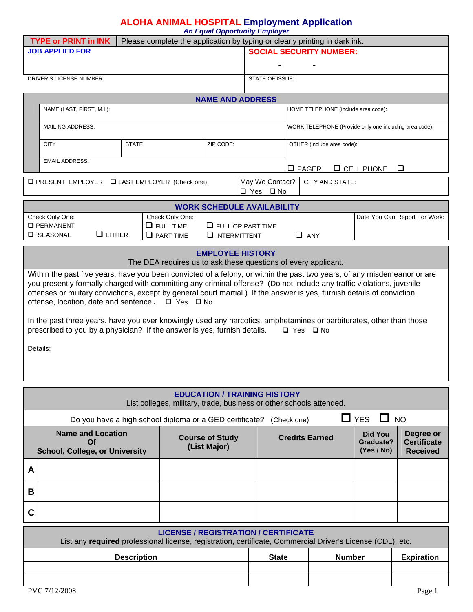## **ALOHA ANIMAL HOSPITAL Employment Application**

*An Equal Opportunity Employer* 

| <b>TYPE or PRINT in INK</b>                                                                                              | Please complete the application by typing or clearly printing in dark ink. |                                        |                 |                            |                                                        |                           |                               |
|--------------------------------------------------------------------------------------------------------------------------|----------------------------------------------------------------------------|----------------------------------------|-----------------|----------------------------|--------------------------------------------------------|---------------------------|-------------------------------|
| <b>JOB APPLIED FOR</b>                                                                                                   |                                                                            |                                        |                 |                            | <b>SOCIAL SECURITY NUMBER:</b>                         |                           |                               |
|                                                                                                                          |                                                                            |                                        |                 |                            |                                                        |                           |                               |
| DRIVER'S LICENSE NUMBER:                                                                                                 |                                                                            |                                        | STATE OF ISSUE: |                            |                                                        |                           |                               |
|                                                                                                                          |                                                                            |                                        |                 |                            |                                                        |                           |                               |
| <b>NAME AND ADDRESS</b>                                                                                                  |                                                                            |                                        |                 |                            |                                                        |                           |                               |
| NAME (LAST, FIRST, M.I.):                                                                                                |                                                                            |                                        |                 |                            | HOME TELEPHONE (include area code):                    |                           |                               |
| <b>MAILING ADDRESS:</b>                                                                                                  |                                                                            |                                        |                 |                            | WORK TELEPHONE (Provide only one including area code): |                           |                               |
|                                                                                                                          |                                                                            |                                        |                 |                            |                                                        |                           |                               |
| <b>CITY</b><br><b>STATE</b><br>ZIP CODE:                                                                                 |                                                                            |                                        |                 | OTHER (include area code): |                                                        |                           |                               |
| <b>EMAIL ADDRESS:</b>                                                                                                    |                                                                            |                                        |                 |                            |                                                        |                           |                               |
|                                                                                                                          |                                                                            |                                        |                 | $Q$ PAGER                  |                                                        | $C$ CELL PHONE            |                               |
| $\Box$ PRESENT EMPLOYER $\Box$ LAST EMPLOYER (Check one):                                                                |                                                                            |                                        | May We Contact? |                            | <b>CITY AND STATE:</b>                                 |                           |                               |
|                                                                                                                          |                                                                            |                                        | □ Yes □ No      |                            |                                                        |                           |                               |
|                                                                                                                          |                                                                            | <b>WORK SCHEDULE AVAILABILITY</b>      |                 |                            |                                                        |                           |                               |
| Check Only One:<br><b>Q</b> PERMANENT                                                                                    | Check Only One:<br>$\Box$ FULL TIME                                        | $\Box$ FULL OR PART TIME               |                 |                            |                                                        |                           | Date You Can Report For Work: |
| $\Box$ EITHER<br><b>Q</b> SEASONAL                                                                                       | $\Box$ PART TIME                                                           | $\Box$ INTERMITTENT                    |                 | $\Box$ ANY                 |                                                        |                           |                               |
|                                                                                                                          |                                                                            |                                        |                 |                            |                                                        |                           |                               |
|                                                                                                                          | The DEA requires us to ask these questions of every applicant.             | <b>EMPLOYEE HISTORY</b>                |                 |                            |                                                        |                           |                               |
| Within the past five years, have you been convicted of a felony, or within the past two years, of any misdemeanor or are |                                                                            |                                        |                 |                            |                                                        |                           |                               |
| you presently formally charged with committing any criminal offense? (Do not include any traffic violations, juvenile    |                                                                            |                                        |                 |                            |                                                        |                           |                               |
| offenses or military convictions, except by general court martial.) If the answer is yes, furnish details of conviction, |                                                                            |                                        |                 |                            |                                                        |                           |                               |
| offense, location, date and sentence. □ Yes □ No                                                                         |                                                                            |                                        |                 |                            |                                                        |                           |                               |
| In the past three years, have you ever knowingly used any narcotics, amphetamines or barbiturates, other than those      |                                                                            |                                        |                 |                            |                                                        |                           |                               |
| prescribed to you by a physician? If the answer is yes, furnish details.                                                 |                                                                            |                                        |                 | $\Box$ Yes $\Box$ No       |                                                        |                           |                               |
| Details:                                                                                                                 |                                                                            |                                        |                 |                            |                                                        |                           |                               |
|                                                                                                                          |                                                                            |                                        |                 |                            |                                                        |                           |                               |
|                                                                                                                          |                                                                            |                                        |                 |                            |                                                        |                           |                               |
|                                                                                                                          |                                                                            |                                        |                 |                            |                                                        |                           |                               |
|                                                                                                                          |                                                                            | <b>EDUCATION / TRAINING HISTORY</b>    |                 |                            |                                                        |                           |                               |
|                                                                                                                          | List colleges, military, trade, business or other schools attended.        |                                        |                 |                            |                                                        |                           |                               |
|                                                                                                                          | Do you have a high school diploma or a GED certificate? (Check one)        |                                        |                 |                            |                                                        | $\sqcup$ YES<br>$\Box$ NO |                               |
| <b>Name and Location</b>                                                                                                 |                                                                            |                                        |                 |                            |                                                        | <b>Did You</b>            | Degree or                     |
| Of                                                                                                                       |                                                                            | <b>Course of Study</b><br>(List Major) |                 | <b>Credits Earned</b>      |                                                        | Graduate?                 | <b>Certificate</b>            |
| <b>School, College, or University</b>                                                                                    |                                                                            |                                        |                 |                            |                                                        | (Yes / No)                | <b>Received</b>               |
| A                                                                                                                        |                                                                            |                                        |                 |                            |                                                        |                           |                               |
| В                                                                                                                        |                                                                            |                                        |                 |                            |                                                        |                           |                               |
| C                                                                                                                        |                                                                            |                                        |                 |                            |                                                        |                           |                               |
| <b>LICENSE / REGISTRATION / CERTIFICATE</b>                                                                              |                                                                            |                                        |                 |                            |                                                        |                           |                               |
| List any required professional license, registration, certificate, Commercial Driver's License (CDL), etc.               |                                                                            |                                        |                 |                            |                                                        |                           |                               |
| <b>Description</b>                                                                                                       |                                                                            |                                        | <b>State</b>    |                            |                                                        |                           |                               |
|                                                                                                                          |                                                                            |                                        |                 |                            | <b>Number</b>                                          |                           | <b>Expiration</b>             |
|                                                                                                                          |                                                                            |                                        |                 |                            |                                                        |                           |                               |
| PVC 7/12/2008                                                                                                            |                                                                            |                                        |                 |                            |                                                        |                           | Page 1                        |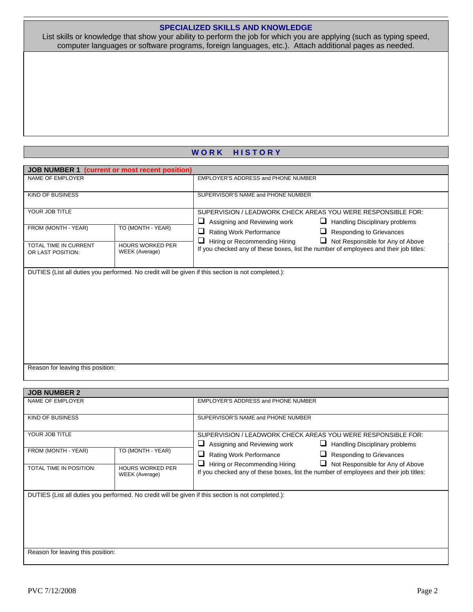## **SPECIALIZED SKILLS AND KNOWLEDGE**

List skills or knowledge that show your ability to perform the job for which you are applying (such as typing speed, computer languages or software programs, foreign languages, etc.). Attach additional pages as needed.

## WORK HISTORY

| JOB NUMBER 1 (current or most recent position) |                         |                                                                                                    |  |  |  |
|------------------------------------------------|-------------------------|----------------------------------------------------------------------------------------------------|--|--|--|
| NAME OF EMPLOYER                               |                         | EMPLOYER'S ADDRESS and PHONE NUMBER                                                                |  |  |  |
|                                                |                         |                                                                                                    |  |  |  |
| <b>KIND OF BUSINESS</b>                        |                         | SUPERVISOR'S NAME and PHONE NUMBER                                                                 |  |  |  |
|                                                |                         |                                                                                                    |  |  |  |
| YOUR JOB TITLE                                 |                         | SUPERVISION / LEADWORK CHECK AREAS YOU WERE RESPONSIBLE FOR:                                       |  |  |  |
| TO (MONTH - YEAR)<br>FROM (MONTH - YEAR)       |                         | ⊔<br>Assigning and Reviewing work<br>⊔<br>Handling Disciplinary problems                           |  |  |  |
|                                                |                         | ❏<br>Rating Work Performance<br><b>Responding to Grievances</b><br>⊔                               |  |  |  |
| TOTAL TIME IN CURRENT                          | <b>HOURS WORKED PER</b> | $\Box$<br>Hiring or Recommending Hiring<br>$\Box$ Not Responsible for Any of Above                 |  |  |  |
| OR LAST POSITION:                              | WEEK (Average)          | If you checked any of these boxes, list the number of employees and their job titles:              |  |  |  |
|                                                |                         |                                                                                                    |  |  |  |
|                                                |                         | DUTIES (List all duties you performed. No credit will be given if this section is not completed.): |  |  |  |
|                                                |                         |                                                                                                    |  |  |  |
|                                                |                         |                                                                                                    |  |  |  |
|                                                |                         |                                                                                                    |  |  |  |
|                                                |                         |                                                                                                    |  |  |  |
|                                                |                         |                                                                                                    |  |  |  |
|                                                |                         |                                                                                                    |  |  |  |
|                                                |                         |                                                                                                    |  |  |  |
|                                                |                         |                                                                                                    |  |  |  |
|                                                |                         |                                                                                                    |  |  |  |
| Reason for leaving this position:              |                         |                                                                                                    |  |  |  |
|                                                |                         |                                                                                                    |  |  |  |
|                                                |                         |                                                                                                    |  |  |  |
| <b>JOB NUMBER 2</b><br>NAME OF EMPLOYER        |                         | EMPLOYER'S ADDRESS and PHONE NUMBER                                                                |  |  |  |
|                                                |                         |                                                                                                    |  |  |  |
| <b>KIND OF BUSINESS</b>                        |                         | SUPERVISOR'S NAME and PHONE NUMBER                                                                 |  |  |  |
|                                                |                         |                                                                                                    |  |  |  |
| YOUR JOB TITLE                                 |                         | SUPERVISION / LEADWORK CHECK AREAS YOU WERE RESPONSIBLE FOR:                                       |  |  |  |
|                                                |                         | ⊔<br>Assigning and Reviewing work<br>Handling Disciplinary problems                                |  |  |  |
| FROM (MONTH - YEAR)                            | TO (MONTH - YEAR)       | ❏<br>Rating Work Performance<br>⊔<br><b>Responding to Grievances</b>                               |  |  |  |
|                                                |                         | $\Box$ Hiring or Recommending Hiring<br>$\Box$ Not Responsible for Any of Above                    |  |  |  |
| <b>TOTAL TIME IN POSITION:</b>                 | <b>HOURS WORKED PER</b> | If you aboaled any of these boyes, liet the number of employees and their ish titles:              |  |  |  |

If you checked any of these boxes, list the number of employees and their job titles:

| DUTIES (List all duties you performed. No credit will be given if this section is not completed.): |
|----------------------------------------------------------------------------------------------------|
|----------------------------------------------------------------------------------------------------|

WEEK (Average)

Reason for leaving this position: